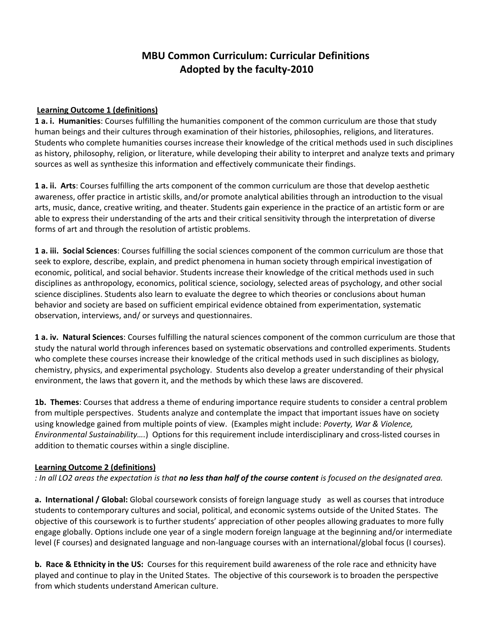# **MBU Common Curriculum: Curricular Definitions Adopted by the faculty-2010**

## **Learning Outcome 1 (definitions)**

**1 a. i. Humanities**: Courses fulfilling the humanities component of the common curriculum are those that study human beings and their cultures through examination of their histories, philosophies, religions, and literatures. Students who complete humanities courses increase their knowledge of the critical methods used in such disciplines as history, philosophy, religion, or literature, while developing their ability to interpret and analyze texts and primary sources as well as synthesize this information and effectively communicate their findings.

**1 a. ii. Arts**: Courses fulfilling the arts component of the common curriculum are those that develop aesthetic awareness, offer practice in artistic skills, and/or promote analytical abilities through an introduction to the visual arts, music, dance, creative writing, and theater. Students gain experience in the practice of an artistic form or are able to express their understanding of the arts and their critical sensitivity through the interpretation of diverse forms of art and through the resolution of artistic problems.

**1 a. iii. Social Sciences**: Courses fulfilling the social sciences component of the common curriculum are those that seek to explore, describe, explain, and predict phenomena in human society through empirical investigation of economic, political, and social behavior. Students increase their knowledge of the critical methods used in such disciplines as anthropology, economics, political science, sociology, selected areas of psychology, and other social science disciplines. Students also learn to evaluate the degree to which theories or conclusions about human behavior and society are based on sufficient empirical evidence obtained from experimentation, systematic observation, interviews, and/ or surveys and questionnaires.

**1 a. iv. Natural Sciences**: Courses fulfilling the natural sciences component of the common curriculum are those that study the natural world through inferences based on systematic observations and controlled experiments. Students who complete these courses increase their knowledge of the critical methods used in such disciplines as biology, chemistry, physics, and experimental psychology. Students also develop a greater understanding of their physical environment, the laws that govern it, and the methods by which these laws are discovered.

**1b. Themes**: Courses that address a theme of enduring importance require students to consider a central problem from multiple perspectives. Students analyze and contemplate the impact that important issues have on society using knowledge gained from multiple points of view. (Examples might include: *Poverty, War & Violence, Environmental Sustainability….*) Options for this requirement include interdisciplinary and cross‐listed courses in addition to thematic courses within a single discipline.

# **Learning Outcome 2 (definitions)**

*: In all LO2 areas the expectation is that no less than half of the course content is focused on the designated area.*

**a. International / Global:** Global coursework consists of foreign language study as well as courses that introduce students to contemporary cultures and social, political, and economic systems outside of the United States. The objective of this coursework is to further students' appreciation of other peoples allowing graduates to more fully engage globally. Options include one year of a single modern foreign language at the beginning and/or intermediate level (F courses) and designated language and non‐language courses with an international/global focus (I courses).

**b. Race & Ethnicity in the US:** Courses for this requirement build awareness of the role race and ethnicity have played and continue to play in the United States. The objective of this coursework is to broaden the perspective from which students understand American culture.